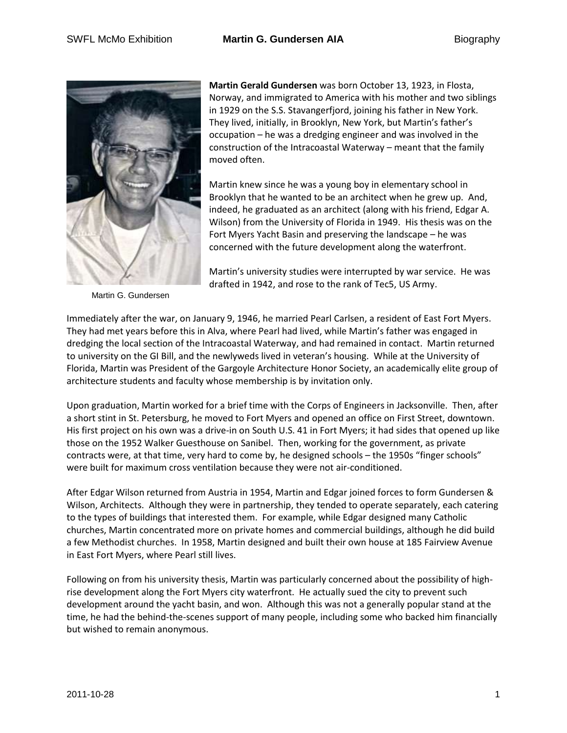

Martin G. Gundersen

**Martin Gerald Gundersen** was born October 13, 1923, in Flosta, Norway, and immigrated to America with his mother and two siblings in 1929 on the S.S. Stavangerfjord, joining his father in New York. They lived, initially, in Brooklyn, New York, but Martin's father's occupation – he was a dredging engineer and was involved in the construction of the Intracoastal Waterway – meant that the family moved often.

Martin knew since he was a young boy in elementary school in Brooklyn that he wanted to be an architect when he grew up. And, indeed, he graduated as an architect (along with his friend, Edgar A. Wilson) from the University of Florida in 1949. His thesis was on the Fort Myers Yacht Basin and preserving the landscape – he was concerned with the future development along the waterfront.

Martin's university studies were interrupted by war service. He was drafted in 1942, and rose to the rank of Tec5, US Army.

Immediately after the war, on January 9, 1946, he married Pearl Carlsen, a resident of East Fort Myers. They had met years before this in Alva, where Pearl had lived, while Martin's father was engaged in dredging the local section of the Intracoastal Waterway, and had remained in contact. Martin returned to university on the GI Bill, and the newlyweds lived in veteran's housing. While at the University of Florida, Martin was President of the Gargoyle Architecture Honor Society, an academically elite group of architecture students and faculty whose membership is by invitation only.

Upon graduation, Martin worked for a brief time with the Corps of Engineers in Jacksonville. Then, after a short stint in St. Petersburg, he moved to Fort Myers and opened an office on First Street, downtown. His first project on his own was a drive-in on South U.S. 41 in Fort Myers; it had sides that opened up like those on the 1952 Walker Guesthouse on Sanibel. Then, working for the government, as private contracts were, at that time, very hard to come by, he designed schools – the 1950s "finger schools" were built for maximum cross ventilation because they were not air-conditioned.

After Edgar Wilson returned from Austria in 1954, Martin and Edgar joined forces to form Gundersen & Wilson, Architects. Although they were in partnership, they tended to operate separately, each catering to the types of buildings that interested them. For example, while Edgar designed many Catholic churches, Martin concentrated more on private homes and commercial buildings, although he did build a few Methodist churches. In 1958, Martin designed and built their own house at 185 Fairview Avenue in East Fort Myers, where Pearl still lives.

Following on from his university thesis, Martin was particularly concerned about the possibility of highrise development along the Fort Myers city waterfront. He actually sued the city to prevent such development around the yacht basin, and won. Although this was not a generally popular stand at the time, he had the behind-the-scenes support of many people, including some who backed him financially but wished to remain anonymous.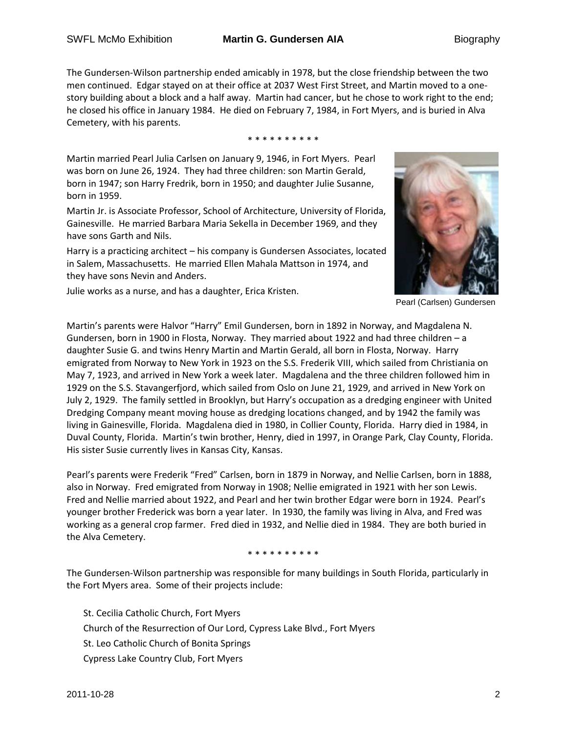The Gundersen-Wilson partnership ended amicably in 1978, but the close friendship between the two men continued. Edgar stayed on at their office at 2037 West First Street, and Martin moved to a onestory building about a block and a half away. Martin had cancer, but he chose to work right to the end; he closed his office in January 1984. He died on February 7, 1984, in Fort Myers, and is buried in Alva Cemetery, with his parents.

\* \* \* \* \* \* \* \* \* \*

Martin married Pearl Julia Carlsen on January 9, 1946, in Fort Myers. Pearl was born on June 26, 1924. They had three children: son Martin Gerald, born in 1947; son Harry Fredrik, born in 1950; and daughter Julie Susanne, born in 1959.

Martin Jr. is Associate Professor, School of Architecture, University of Florida, Gainesville. He married Barbara Maria Sekella in December 1969, and they have sons Garth and Nils.

Harry is a practicing architect – his company is Gundersen Associates, located in Salem, Massachusetts. He married Ellen Mahala Mattson in 1974, and they have sons Nevin and Anders.

Julie works as a nurse, and has a daughter, Erica Kristen.



Pearl (Carlsen) Gundersen

Martin's parents were Halvor "Harry" Emil Gundersen, born in 1892 in Norway, and Magdalena N. Gundersen, born in 1900 in Flosta, Norway. They married about 1922 and had three children – a daughter Susie G. and twins Henry Martin and Martin Gerald, all born in Flosta, Norway. Harry emigrated from Norway to New York in 1923 on the S.S. Frederik VIII, which sailed from Christiania on May 7, 1923, and arrived in New York a week later. Magdalena and the three children followed him in 1929 on the S.S. Stavangerfjord, which sailed from Oslo on June 21, 1929, and arrived in New York on July 2, 1929. The family settled in Brooklyn, but Harry's occupation as a dredging engineer with United Dredging Company meant moving house as dredging locations changed, and by 1942 the family was living in Gainesville, Florida. Magdalena died in 1980, in Collier County, Florida. Harry died in 1984, in Duval County, Florida. Martin's twin brother, Henry, died in 1997, in Orange Park, Clay County, Florida. His sister Susie currently lives in Kansas City, Kansas.

Pearl's parents were Frederik "Fred" Carlsen, born in 1879 in Norway, and Nellie Carlsen, born in 1888, also in Norway. Fred emigrated from Norway in 1908; Nellie emigrated in 1921 with her son Lewis. Fred and Nellie married about 1922, and Pearl and her twin brother Edgar were born in 1924. Pearl's younger brother Frederick was born a year later. In 1930, the family was living in Alva, and Fred was working as a general crop farmer. Fred died in 1932, and Nellie died in 1984. They are both buried in the Alva Cemetery.

\* \* \* \* \* \* \* \* \*

The Gundersen-Wilson partnership was responsible for many buildings in South Florida, particularly in the Fort Myers area. Some of their projects include:

St. Cecilia Catholic Church, Fort Myers Church of the Resurrection of Our Lord, Cypress Lake Blvd., Fort Myers St. Leo Catholic Church of Bonita Springs Cypress Lake Country Club, Fort Myers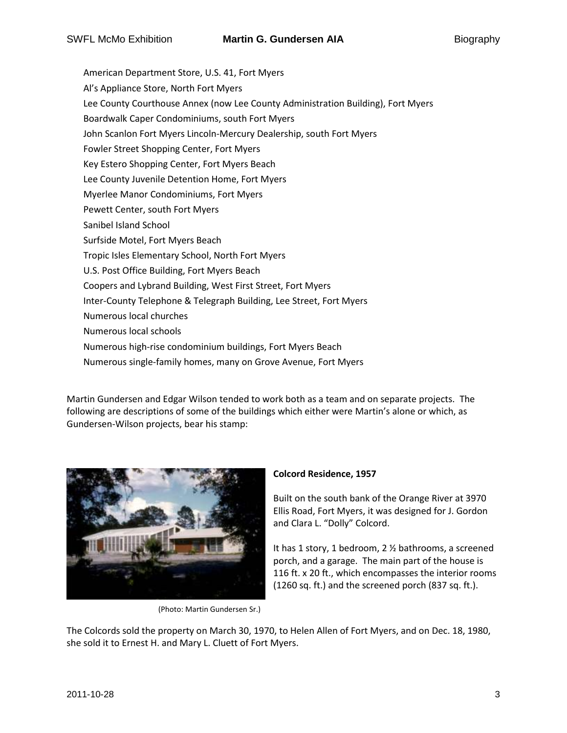American Department Store, U.S. 41, Fort Myers Al's Appliance Store, North Fort Myers Lee County Courthouse Annex (now Lee County Administration Building), Fort Myers Boardwalk Caper Condominiums, south Fort Myers John Scanlon Fort Myers Lincoln-Mercury Dealership, south Fort Myers Fowler Street Shopping Center, Fort Myers Key Estero Shopping Center, Fort Myers Beach Lee County Juvenile Detention Home, Fort Myers Myerlee Manor Condominiums, Fort Myers Pewett Center, south Fort Myers Sanibel Island School Surfside Motel, Fort Myers Beach Tropic Isles Elementary School, North Fort Myers U.S. Post Office Building, Fort Myers Beach Coopers and Lybrand Building, West First Street, Fort Myers Inter-County Telephone & Telegraph Building, Lee Street, Fort Myers Numerous local churches Numerous local schools Numerous high-rise condominium buildings, Fort Myers Beach Numerous single-family homes, many on Grove Avenue, Fort Myers

Martin Gundersen and Edgar Wilson tended to work both as a team and on separate projects. The following are descriptions of some of the buildings which either were Martin's alone or which, as Gundersen-Wilson projects, bear his stamp:



(Photo: Martin Gundersen Sr.)

### **Colcord Residence, 1957**

Built on the south bank of the Orange River at 3970 Ellis Road, Fort Myers, it was designed for J. Gordon and Clara L. "Dolly" Colcord.

It has 1 story, 1 bedroom, 2 ½ bathrooms, a screened porch, and a garage. The main part of the house is 116 ft. x 20 ft., which encompasses the interior rooms (1260 sq. ft.) and the screened porch (837 sq. ft.).

The Colcords sold the property on March 30, 1970, to Helen Allen of Fort Myers, and on Dec. 18, 1980, she sold it to Ernest H. and Mary L. Cluett of Fort Myers.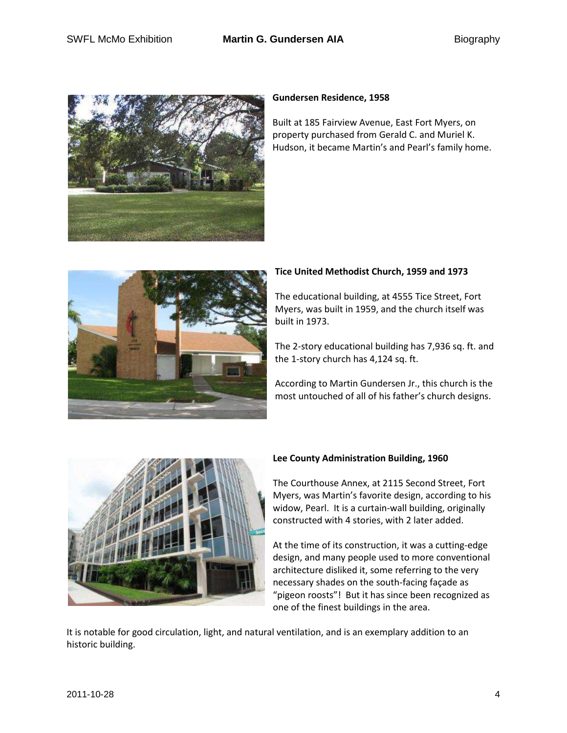

### **Gundersen Residence, 1958**

Built at 185 Fairview Avenue, East Fort Myers, on property purchased from Gerald C. and Muriel K. Hudson, it became Martin's and Pearl's family home.



# **Tice United Methodist Church, 1959 and 1973**

The educational building, at 4555 Tice Street, Fort Myers, was built in 1959, and the church itself was built in 1973.

The 2-story educational building has 7,936 sq. ft. and the 1-story church has 4,124 sq. ft.

According to Martin Gundersen Jr., this church is the most untouched of all of his father's church designs.



## **Lee County Administration Building, 1960**

The Courthouse Annex, at 2115 Second Street, Fort Myers, was Martin's favorite design, according to his widow, Pearl. It is a curtain-wall building, originally constructed with 4 stories, with 2 later added.

At the time of its construction, it was a cutting-edge design, and many people used to more conventional architecture disliked it, some referring to the very necessary shades on the south-facing façade as "pigeon roosts"! But it has since been recognized as one of the finest buildings in the area.

It is notable for good circulation, light, and natural ventilation, and is an exemplary addition to an historic building.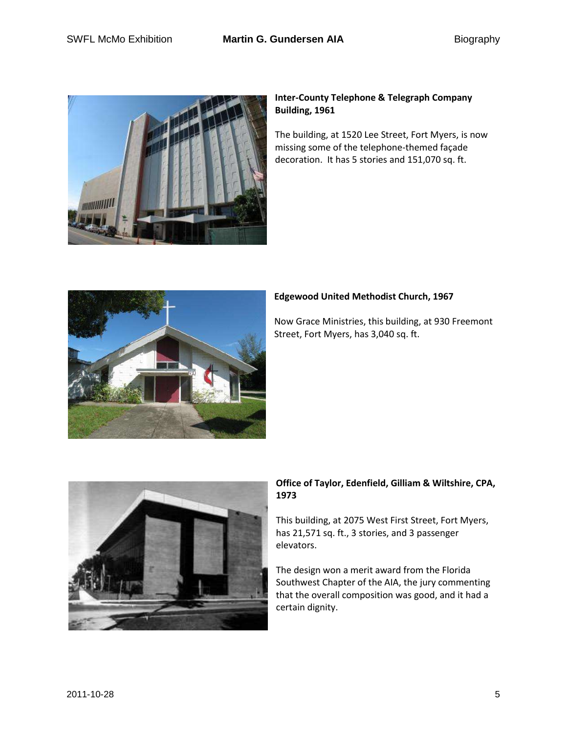

## **Inter-County Telephone & Telegraph Company Building, 1961**

The building, at 1520 Lee Street, Fort Myers, is now missing some of the telephone-themed façade decoration. It has 5 stories and 151,070 sq. ft.



# **Edgewood United Methodist Church, 1967**

Now Grace Ministries, this building, at 930 Freemont Street, Fort Myers, has 3,040 sq. ft.



# **Office of Taylor, Edenfield, Gilliam & Wiltshire, CPA, 1973**

This building, at 2075 West First Street, Fort Myers, has 21,571 sq. ft., 3 stories, and 3 passenger elevators.

The design won a merit award from the Florida Southwest Chapter of the AIA, the jury commenting that the overall composition was good, and it had a certain dignity.